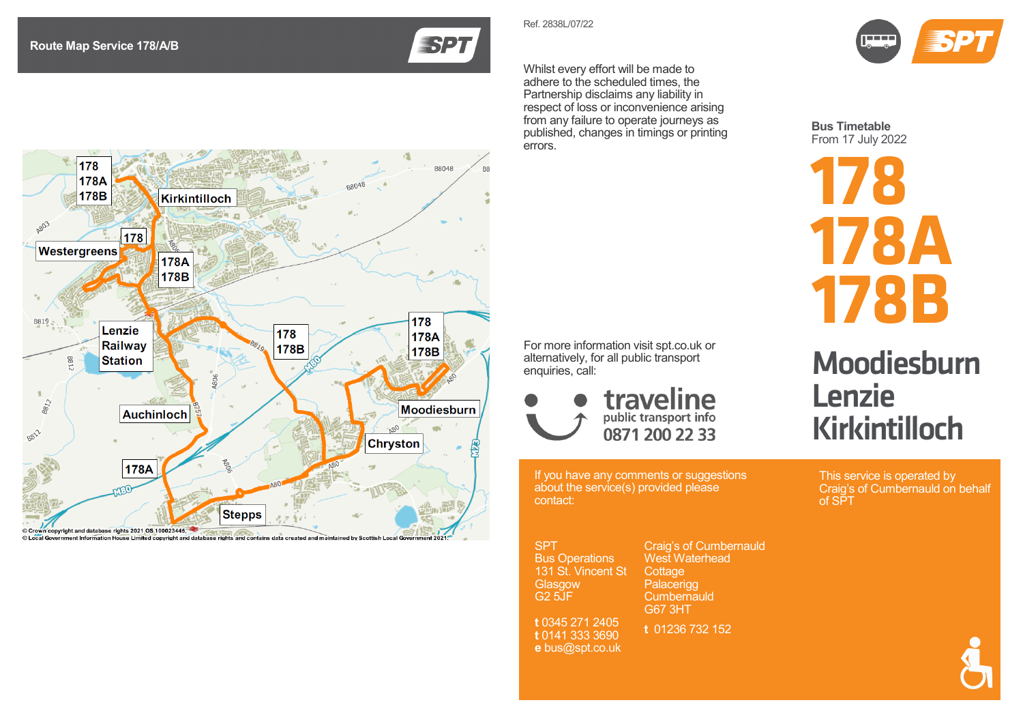Ref. 2838 L /07/22

**SPT** 

Whilst every effort will be made to adhere to the scheduled times, the Partnership disclaims any liability in respect of loss or inconvenience arising from any failure to operate journeys as published, changes in timings or printing errors.



**Bus Timetable** From 17 July 202 2

**178 178A 178B**

## **Moodiesburn** Lenzie Kirkintilloch

This service is operated by Craig's of Cumbernauld on behalf of SPT



178 B8048 178A **BR048** 178B **Kirkintilloch A803** 178 **Westergreens** 178A 178B 178 B819 Lenzie 178 178A Railway 178B 178B **Station** B81  $\mathbf{u}$  $Bg_{I2}$ Moodiesburn Auchinloch 8812 **Chryston** 178A **Stepps** Crown copyright and database rights 2021 OS 100023445,

© Local Gove

For more information visit spt.co.uk or alternatively, for all public transport enquiries, call:



If you have any comments or suggestions

about the service(s) provided please contact:

**SPT** Bus Operations 131 St. Vincent St **Glasgow** G2 5JF **t** 0345 271 2405 **t** 0141 333 3690 **e** bus@spt.co.uk Craig's of Cumbernauld West Waterhead Cottage Palacerigg **Cumbernauld** G67 3HT **t** 01236 732 152